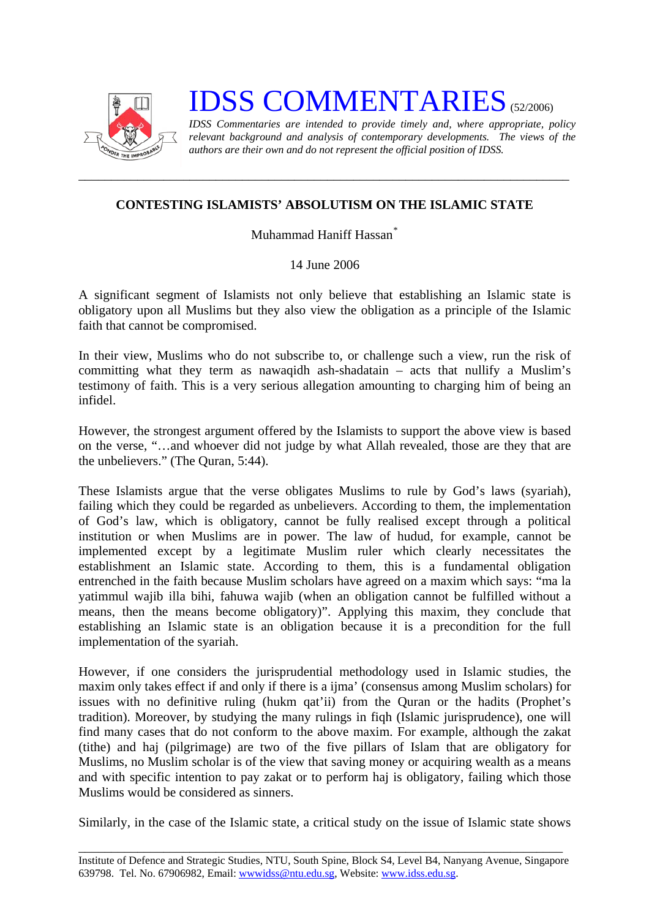

## **IDSS COMMENTARIES** (52/2006)

*IDSS Commentaries are intended to provide timely and, where appropriate, policy relevant background and analysis of contemporary developments. The views of the authors are their own and do not represent the official position of IDSS.* 

## **CONTESTING ISLAMISTS' ABSOLUTISM ON THE ISLAMIC STATE**

Muhammad Haniff Hassan[\\*](#page-2-0)

## 14 June 2006

A significant segment of Islamists not only believe that establishing an Islamic state is obligatory upon all Muslims but they also view the obligation as a principle of the Islamic faith that cannot be compromised.

In their view, Muslims who do not subscribe to, or challenge such a view, run the risk of committing what they term as nawaqidh ash-shadatain – acts that nullify a Muslim's testimony of faith. This is a very serious allegation amounting to charging him of being an infidel.

However, the strongest argument offered by the Islamists to support the above view is based on the verse, "…and whoever did not judge by what Allah revealed, those are they that are the unbelievers." (The Quran, 5:44).

These Islamists argue that the verse obligates Muslims to rule by God's laws (syariah), failing which they could be regarded as unbelievers. According to them, the implementation of God's law, which is obligatory, cannot be fully realised except through a political institution or when Muslims are in power. The law of hudud, for example, cannot be implemented except by a legitimate Muslim ruler which clearly necessitates the establishment an Islamic state. According to them, this is a fundamental obligation entrenched in the faith because Muslim scholars have agreed on a maxim which says: "ma la yatimmul wajib illa bihi, fahuwa wajib (when an obligation cannot be fulfilled without a means, then the means become obligatory)". Applying this maxim, they conclude that establishing an Islamic state is an obligation because it is a precondition for the full implementation of the syariah.

However, if one considers the jurisprudential methodology used in Islamic studies, the maxim only takes effect if and only if there is a ijma' (consensus among Muslim scholars) for issues with no definitive ruling (hukm qat'ii) from the Quran or the hadits (Prophet's tradition). Moreover, by studying the many rulings in fiqh (Islamic jurisprudence), one will find many cases that do not conform to the above maxim. For example, although the zakat (tithe) and haj (pilgrimage) are two of the five pillars of Islam that are obligatory for Muslims, no Muslim scholar is of the view that saving money or acquiring wealth as a means and with specific intention to pay zakat or to perform haj is obligatory, failing which those Muslims would be considered as sinners.

Similarly, in the case of the Islamic state, a critical study on the issue of Islamic state shows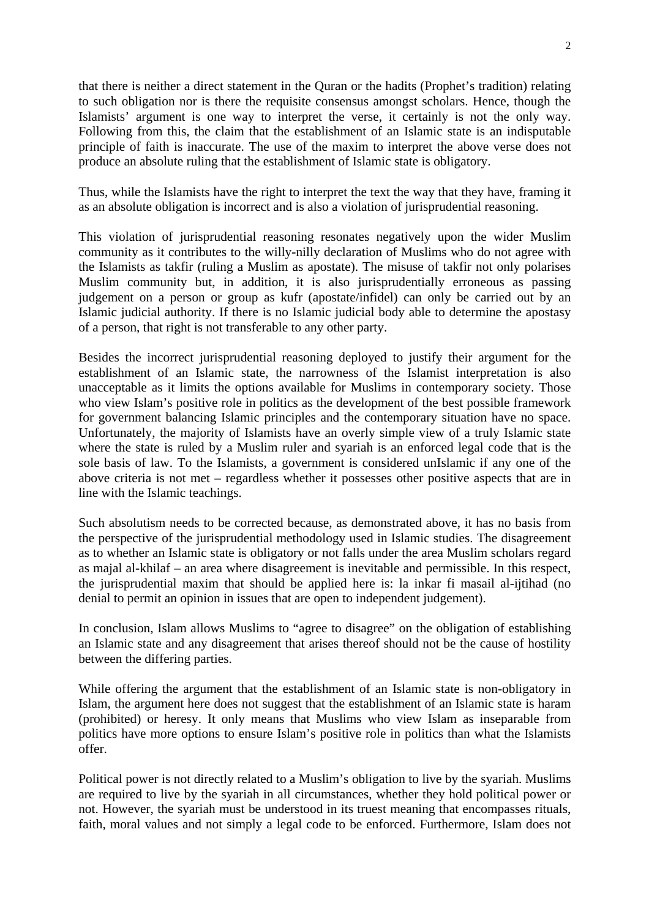that there is neither a direct statement in the Quran or the hadits (Prophet's tradition) relating to such obligation nor is there the requisite consensus amongst scholars. Hence, though the Islamists' argument is one way to interpret the verse, it certainly is not the only way. Following from this, the claim that the establishment of an Islamic state is an indisputable principle of faith is inaccurate. The use of the maxim to interpret the above verse does not produce an absolute ruling that the establishment of Islamic state is obligatory.

Thus, while the Islamists have the right to interpret the text the way that they have, framing it as an absolute obligation is incorrect and is also a violation of jurisprudential reasoning.

This violation of jurisprudential reasoning resonates negatively upon the wider Muslim community as it contributes to the willy-nilly declaration of Muslims who do not agree with the Islamists as takfir (ruling a Muslim as apostate). The misuse of takfir not only polarises Muslim community but, in addition, it is also jurisprudentially erroneous as passing judgement on a person or group as kufr (apostate/infidel) can only be carried out by an Islamic judicial authority. If there is no Islamic judicial body able to determine the apostasy of a person, that right is not transferable to any other party.

Besides the incorrect jurisprudential reasoning deployed to justify their argument for the establishment of an Islamic state, the narrowness of the Islamist interpretation is also unacceptable as it limits the options available for Muslims in contemporary society. Those who view Islam's positive role in politics as the development of the best possible framework for government balancing Islamic principles and the contemporary situation have no space. Unfortunately, the majority of Islamists have an overly simple view of a truly Islamic state where the state is ruled by a Muslim ruler and syariah is an enforced legal code that is the sole basis of law. To the Islamists, a government is considered unIslamic if any one of the above criteria is not met – regardless whether it possesses other positive aspects that are in line with the Islamic teachings.

Such absolutism needs to be corrected because, as demonstrated above, it has no basis from the perspective of the jurisprudential methodology used in Islamic studies. The disagreement as to whether an Islamic state is obligatory or not falls under the area Muslim scholars regard as majal al-khilaf – an area where disagreement is inevitable and permissible. In this respect, the jurisprudential maxim that should be applied here is: la inkar fi masail al-ijtihad (no denial to permit an opinion in issues that are open to independent judgement).

In conclusion, Islam allows Muslims to "agree to disagree" on the obligation of establishing an Islamic state and any disagreement that arises thereof should not be the cause of hostility between the differing parties.

While offering the argument that the establishment of an Islamic state is non-obligatory in Islam, the argument here does not suggest that the establishment of an Islamic state is haram (prohibited) or heresy. It only means that Muslims who view Islam as inseparable from politics have more options to ensure Islam's positive role in politics than what the Islamists offer.

Political power is not directly related to a Muslim's obligation to live by the syariah. Muslims are required to live by the syariah in all circumstances, whether they hold political power or not. However, the syariah must be understood in its truest meaning that encompasses rituals, faith, moral values and not simply a legal code to be enforced. Furthermore, Islam does not